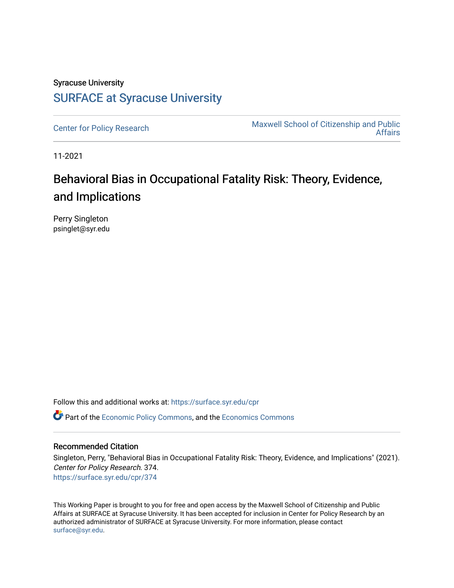# Syracuse University [SURFACE at Syracuse University](https://surface.syr.edu/)

[Center for Policy Research](https://surface.syr.edu/cpr) Maxwell School of Citizenship and Public [Affairs](https://surface.syr.edu/maxwell) 

11-2021

# Behavioral Bias in Occupational Fatality Risk: Theory, Evidence, and Implications

Perry Singleton psinglet@syr.edu

Follow this and additional works at: [https://surface.syr.edu/cpr](https://surface.syr.edu/cpr?utm_source=surface.syr.edu%2Fcpr%2F374&utm_medium=PDF&utm_campaign=PDFCoverPages) 

**C** Part of the [Economic Policy Commons](http://network.bepress.com/hgg/discipline/1025?utm_source=surface.syr.edu%2Fcpr%2F374&utm_medium=PDF&utm_campaign=PDFCoverPages), and the [Economics Commons](http://network.bepress.com/hgg/discipline/340?utm_source=surface.syr.edu%2Fcpr%2F374&utm_medium=PDF&utm_campaign=PDFCoverPages)

#### Recommended Citation

Singleton, Perry, "Behavioral Bias in Occupational Fatality Risk: Theory, Evidence, and Implications" (2021). Center for Policy Research. 374. [https://surface.syr.edu/cpr/374](https://surface.syr.edu/cpr/374?utm_source=surface.syr.edu%2Fcpr%2F374&utm_medium=PDF&utm_campaign=PDFCoverPages) 

This Working Paper is brought to you for free and open access by the Maxwell School of Citizenship and Public Affairs at SURFACE at Syracuse University. It has been accepted for inclusion in Center for Policy Research by an authorized administrator of SURFACE at Syracuse University. For more information, please contact [surface@syr.edu.](mailto:surface@syr.edu)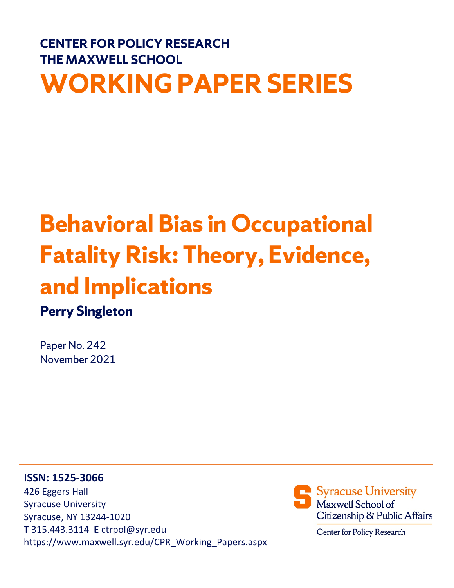# **CENTER FOR POLICY RESEARCH THE MAXWELL SCHOOL WORKING PAPER SERIES**

# **Behavioral Bias in Occupational Fatality Risk: Theory, Evidence, and Implications**

# **Perry Singleton**

Paper No. 242 November 2021

### **ISSN: 1525-3066**

426 Eggers Hall Syracuse University Syracuse, NY 13244-1020 **T** 315.443.3114 **E** ctrpol@syr.edu https://www.maxwell.syr.edu/CPR\_Working\_Papers.aspx



Center for Policy Research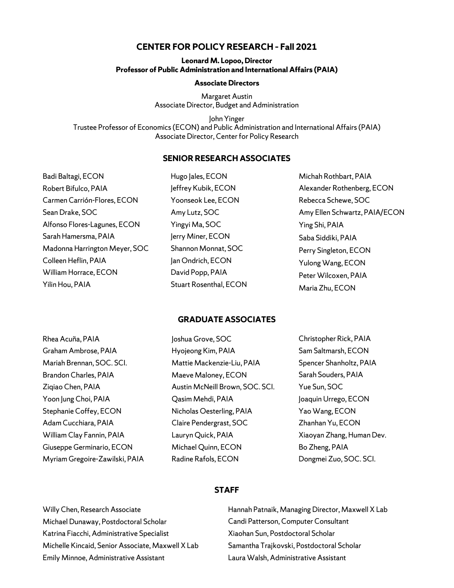#### **CENTER FOR POLICY RESEARCH – Fall 2021**

#### **Leonard M. Lopoo, Director Professor of Public Administration and International Affairs (PAIA)**

#### **Associate Directors**

Margaret Austin Associate Director, Budget and Administration

John Yinger Trustee Professor of Economics (ECON) and Public Administration and International Affairs (PAIA) Associate Director, Center for Policy Research

#### **SENIOR RESEARCH ASSOCIATES**

Badi Baltagi, ECON Robert Bifulco, PAIA Carmen Carrión-Flores, ECON Sean Drake, SOC Alfonso Flores-Lagunes, ECON Sarah Hamersma, PAIA Madonna Harrington Meyer, SOC Colleen Heflin, PAIA William Horrace, ECON Yilin Hou, PAIA

Hugo Jales, ECON Jeffrey Kubik, ECON Yoonseok Lee, ECON Amy Lutz, SOC Yingyi Ma, SOC Jerry Miner, ECON Shannon Monnat, SOC Jan Ondrich, ECON David Popp, PAIA Stuart Rosenthal, ECON Michah Rothbart, PAIA Alexander Rothenberg, ECON Rebecca Schewe, SOC Amy Ellen Schwartz, PAIA/ECON Ying Shi, PAIA Saba Siddiki, PAIA Perry Singleton, ECON Yulong Wang, ECON Peter Wilcoxen, PAIA Maria Zhu, ECON

#### **GRADUATE ASSOCIATES**

| Joshua Grove, SOC               | Christopher Rick, PAIA    |
|---------------------------------|---------------------------|
| Hyojeong Kim, PAIA              | Sam Saltmarsh, ECON       |
| Mattie Mackenzie-Liu, PAIA      | Spencer Shanholtz, PAIA   |
| Maeve Maloney, ECON             | Sarah Souders, PAIA       |
| Austin McNeill Brown, SOC. SCI. | Yue Sun, SOC              |
| Qasim Mehdi, PAIA               | Joaquin Urrego, ECON      |
| Nicholas Oesterling, PAIA       | Yao Wang, ECON            |
| Claire Pendergrast, SOC         | Zhanhan Yu, ECON          |
| Lauryn Quick, PAIA              | Xiaoyan Zhang, Human Dev. |
| Michael Quinn, ECON             | Bo Zheng, PAIA            |
| Radine Rafols, ECON             | Dongmei Zuo, SOC. SCI.    |
|                                 |                           |

#### **STAFF**

Willy Chen, Research Associate Michael Dunaway, Postdoctoral Scholar Katrina Fiacchi, Administrative Specialist Michelle Kincaid, Senior Associate, Maxwell X Lab Emily Minnoe, Administrative Assistant

Hannah Patnaik, Managing Director, Maxwell X Lab Candi Patterson, Computer Consultant Xiaohan Sun, Postdoctoral Scholar Samantha Trajkovski, Postdoctoral Scholar Laura Walsh, Administrative Assistant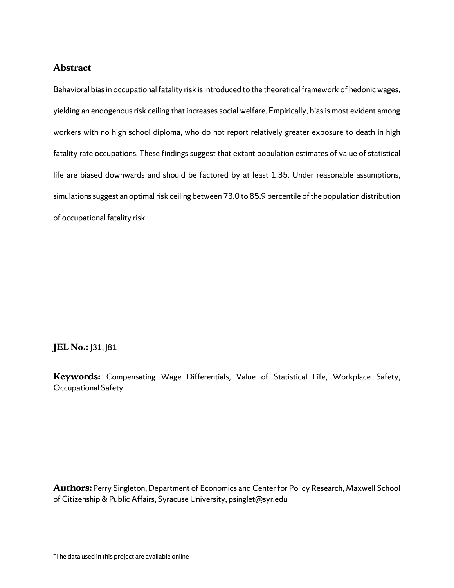#### **Abstract**

Behavioral bias in occupational fatality risk is introduced to the theoretical framework of hedonic wages, yielding an endogenous risk ceiling that increases social welfare. Empirically, bias is most evident among workers with no high school diploma, who do not report relatively greater exposure to death in high fatality rate occupations. These findings suggest that extant population estimates of value of statistical life are biased downwards and should be factored by at least 1.35. Under reasonable assumptions, simulations suggest an optimal risk ceiling between 73.0 to 85.9 percentile of the population distribution of occupational fatality risk.

#### **JEL No.:** J31, J81

**Keywords:** Compensating Wage Differentials, Value of Statistical Life, Workplace Safety, Occupational Safety

**Authors:** Perry Singleton, Department of Economics and Center for Policy Research, Maxwell School of Citizenship & Public Affairs, Syracuse University, psinglet@syr.edu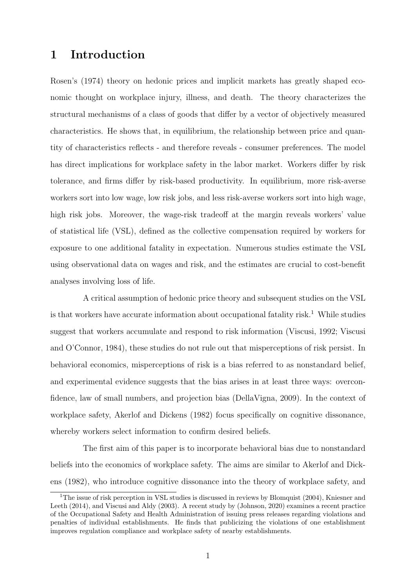# 1 Introduction

Rosen's (1974) theory on hedonic prices and implicit markets has greatly shaped economic thought on workplace injury, illness, and death. The theory characterizes the structural mechanisms of a class of goods that differ by a vector of objectively measured characteristics. He shows that, in equilibrium, the relationship between price and quantity of characteristics reflects - and therefore reveals - consumer preferences. The model has direct implications for workplace safety in the labor market. Workers differ by risk tolerance, and firms differ by risk-based productivity. In equilibrium, more risk-averse workers sort into low wage, low risk jobs, and less risk-averse workers sort into high wage, high risk jobs. Moreover, the wage-risk tradeoff at the margin reveals workers' value of statistical life (VSL), defined as the collective compensation required by workers for exposure to one additional fatality in expectation. Numerous studies estimate the VSL using observational data on wages and risk, and the estimates are crucial to cost-benefit analyses involving loss of life.

A critical assumption of hedonic price theory and subsequent studies on the VSL is that workers have accurate information about occupational fatality risk.<sup>1</sup> While studies suggest that workers accumulate and respond to risk information (Viscusi, 1992; Viscusi and O'Connor, 1984), these studies do not rule out that misperceptions of risk persist. In behavioral economics, misperceptions of risk is a bias referred to as nonstandard belief, and experimental evidence suggests that the bias arises in at least three ways: overconfidence, law of small numbers, and projection bias (DellaVigna, 2009). In the context of workplace safety, Akerlof and Dickens (1982) focus specifically on cognitive dissonance, whereby workers select information to confirm desired beliefs.

The first aim of this paper is to incorporate behavioral bias due to nonstandard beliefs into the economics of workplace safety. The aims are similar to Akerlof and Dickens (1982), who introduce cognitive dissonance into the theory of workplace safety, and

<sup>&</sup>lt;sup>1</sup>The issue of risk perception in VSL studies is discussed in reviews by Blomquist (2004), Kniesner and Leeth (2014), and Viscusi and Aldy (2003). A recent study by (Johnson, 2020) examines a recent practice of the Occupational Safety and Health Administration of issuing press releases regarding violations and penalties of individual establishments. He finds that publicizing the violations of one establishment improves regulation compliance and workplace safety of nearby establishments.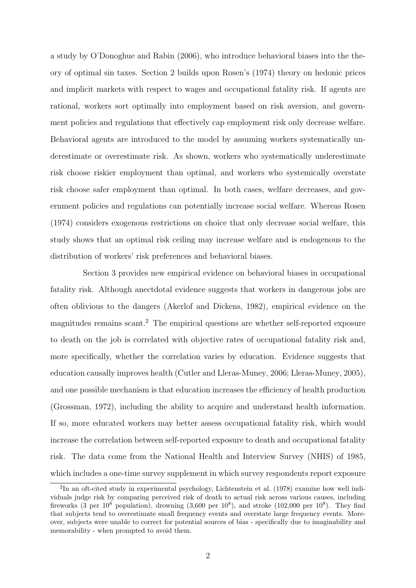a study by O'Donoghue and Rabin (2006), who introduce behavioral biases into the theory of optimal sin taxes. Section 2 builds upon Rosen's (1974) theory on hedonic prices and implicit markets with respect to wages and occupational fatality risk. If agents are rational, workers sort optimally into employment based on risk aversion, and government policies and regulations that effectively cap employment risk only decrease welfare. Behavioral agents are introduced to the model by assuming workers systematically underestimate or overestimate risk. As shown, workers who systematically underestimate risk choose riskier employment than optimal, and workers who systemically overstate risk choose safer employment than optimal. In both cases, welfare decreases, and government policies and regulations can potentially increase social welfare. Whereas Rosen (1974) considers exogenous restrictions on choice that only decrease social welfare, this study shows that an optimal risk ceiling may increase welfare and is endogenous to the distribution of workers' risk preferences and behavioral biases.

Section 3 provides new empirical evidence on behavioral biases in occupational fatality risk. Although anectdotal evidence suggests that workers in dangerous jobs are often oblivious to the dangers (Akerlof and Dickens, 1982), empirical evidence on the magnitudes remains scant.<sup>2</sup> The empirical questions are whether self-reported exposure to death on the job is correlated with objective rates of occupational fatality risk and, more specifically, whether the correlation varies by education. Evidence suggests that education causally improves health (Cutler and Lleras-Muney, 2006; Lleras-Muney, 2005), and one possible mechanism is that education increases the efficiency of health production (Grossman, 1972), including the ability to acquire and understand health information. If so, more educated workers may better assess occupational fatality risk, which would increase the correlation between self-reported exposure to death and occupational fatality risk. The data come from the National Health and Interview Survey (NHIS) of 1985, which includes a one-time survey supplement in which survey respondents report exposure

<sup>&</sup>lt;sup>2</sup>In an oft-cited study in experimental psychology, Lichtenstein et al. (1978) examine how well individuals judge risk by comparing perceived risk of death to actual risk across various causes, including fireworks (3 per  $10^8$  population), drowning (3,600 per  $10^8$ ), and stroke (102,000 per  $10^8$ ). They find that subjects tend to overestimate small frequency events and overstate large frequency events. Moreover, subjects were unable to correct for potential sources of bias - specifically due to imaginability and memorability - when prompted to avoid them.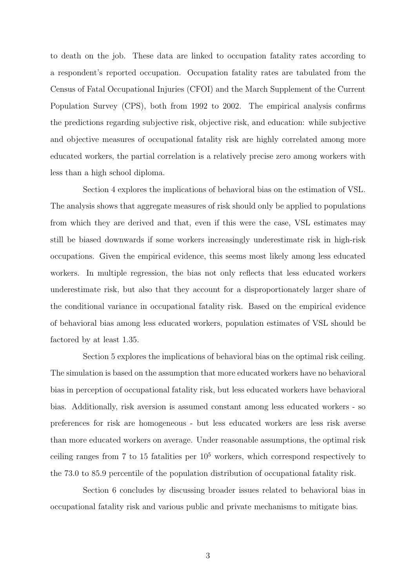to death on the job. These data are linked to occupation fatality rates according to a respondent's reported occupation. Occupation fatality rates are tabulated from the Census of Fatal Occupational Injuries (CFOI) and the March Supplement of the Current Population Survey (CPS), both from 1992 to 2002. The empirical analysis confirms the predictions regarding subjective risk, objective risk, and education: while subjective and objective measures of occupational fatality risk are highly correlated among more educated workers, the partial correlation is a relatively precise zero among workers with less than a high school diploma.

Section 4 explores the implications of behavioral bias on the estimation of VSL. The analysis shows that aggregate measures of risk should only be applied to populations from which they are derived and that, even if this were the case, VSL estimates may still be biased downwards if some workers increasingly underestimate risk in high-risk occupations. Given the empirical evidence, this seems most likely among less educated workers. In multiple regression, the bias not only reflects that less educated workers underestimate risk, but also that they account for a disproportionately larger share of the conditional variance in occupational fatality risk. Based on the empirical evidence of behavioral bias among less educated workers, population estimates of VSL should be factored by at least 1.35.

Section 5 explores the implications of behavioral bias on the optimal risk ceiling. The simulation is based on the assumption that more educated workers have no behavioral bias in perception of occupational fatality risk, but less educated workers have behavioral bias. Additionally, risk aversion is assumed constant among less educated workers - so preferences for risk are homogeneous - but less educated workers are less risk averse than more educated workers on average. Under reasonable assumptions, the optimal risk ceiling ranges from 7 to 15 fatalities per  $10<sup>5</sup>$  workers, which correspond respectively to the 73.0 to 85.9 percentile of the population distribution of occupational fatality risk.

Section 6 concludes by discussing broader issues related to behavioral bias in occupational fatality risk and various public and private mechanisms to mitigate bias.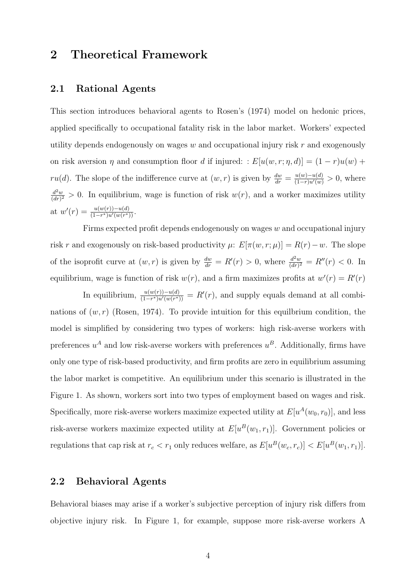# 2 Theoretical Framework

#### 2.1 Rational Agents

This section introduces behavioral agents to Rosen's (1974) model on hedonic prices, applied specifically to occupational fatality risk in the labor market. Workers' expected utility depends endogenously on wages  $w$  and occupational injury risk  $r$  and exogenously on risk aversion  $\eta$  and consumption floor d if injured: :  $E[u(w, r; \eta, d)] = (1 - r)u(w) +$ ru(d). The slope of the indifference curve at  $(w, r)$  is given by  $\frac{dw}{dr} = \frac{u(w)-u(d)}{(1-r)u'(w)} > 0$ , where  $\frac{d^2w}{(dr)^2} > 0$ . In equilibrium, wage is function of risk  $w(r)$ , and a worker maximizes utility at  $w'(r) = \frac{u(w(r)) - u(d)}{(1 - r^*)u'(w(r^*))}$ .

Firms expected profit depends endogenously on wages  $w$  and occupational injury risk r and exogenously on risk-based productivity  $\mu$ :  $E[\pi(w, r; \mu)] = R(r) - w$ . The slope of the isoprofit curve at  $(w, r)$  is given by  $\frac{dw}{dr} = R'(r) > 0$ , where  $\frac{d^2w}{(dr)^2} = R''(r) < 0$ . In equilibrium, wage is function of risk  $w(r)$ , and a firm maximizes profits at  $w'(r) = R'(r)$ 

In equilibrium,  $\frac{u(w(r)) - u(d)}{(1 - r^*)u'(w(r^*))} = R'(r)$ , and supply equals demand at all combinations of  $(w, r)$  (Rosen, 1974). To provide intuition for this equilibrium condition, the model is simplified by considering two types of workers: high risk-averse workers with preferences  $u^A$  and low risk-averse workers with preferences  $u^B$ . Additionally, firms have only one type of risk-based productivity, and firm profits are zero in equilibrium assuming the labor market is competitive. An equilibrium under this scenario is illustrated in the Figure 1. As shown, workers sort into two types of employment based on wages and risk. Specifically, more risk-averse workers maximize expected utility at  $E[u^A(w_0, r_0)]$ , and less risk-averse workers maximize expected utility at  $E[u^B(w_1, r_1)]$ . Government policies or regulations that cap risk at  $r_c < r_1$  only reduces welfare, as  $E[u^B(w_c, r_c)] < E[u^B(w_1, r_1)]$ .

#### 2.2 Behavioral Agents

Behavioral biases may arise if a worker's subjective perception of injury risk differs from objective injury risk. In Figure 1, for example, suppose more risk-averse workers A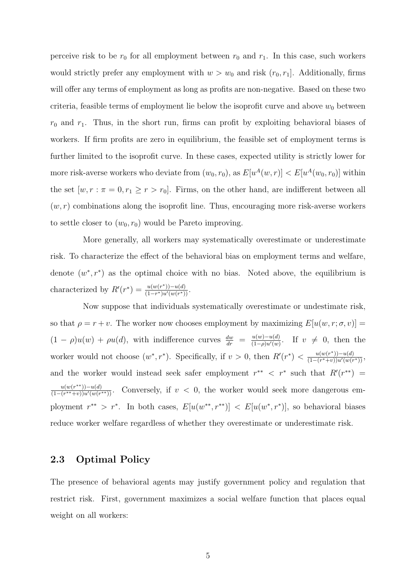perceive risk to be  $r_0$  for all employment between  $r_0$  and  $r_1$ . In this case, such workers would strictly prefer any employment with  $w > w_0$  and risk  $(r_0, r_1]$ . Additionally, firms will offer any terms of employment as long as profits are non-negative. Based on these two criteria, feasible terms of employment lie below the isoprofit curve and above  $w_0$  between  $r_0$  and  $r_1$ . Thus, in the short run, firms can profit by exploiting behavioral biases of workers. If firm profits are zero in equilibrium, the feasible set of employment terms is further limited to the isoprofit curve. In these cases, expected utility is strictly lower for more risk-averse workers who deviate from  $(w_0, r_0)$ , as  $E[u^A(w, r)] < E[u^A(w_0, r_0)]$  within the set  $[w, r : \pi = 0, r_1 \ge r > r_0]$ . Firms, on the other hand, are indifferent between all  $(w, r)$  combinations along the isoprofit line. Thus, encouraging more risk-averse workers to settle closer to  $(w_0, r_0)$  would be Pareto improving.

More generally, all workers may systematically overestimate or underestimate risk. To characterize the effect of the behavioral bias on employment terms and welfare, denote  $(w^*, r^*)$  as the optimal choice with no bias. Noted above, the equilibrium is characterized by  $R'(r^*) = \frac{u(w(r^*))-u(d)}{(1-r^*)u'(w(r^*))}$  $\frac{u(w(r^{\prime}))-u(a)}{(1-r^*)u'(w(r^*))}$ .

Now suppose that individuals systematically overestimate or undestimate risk, so that  $\rho = r + v$ . The worker now chooses employment by maximizing  $E[u(w, r; \sigma, v)] =$  $(1 - \rho)u(w) + \rho u(d)$ , with indifference curves  $\frac{dw}{dr} = \frac{u(w)-u(d)}{(1-\rho)u'(w)}$  $\frac{dw}{dr} = \frac{u(w)-u(a)}{(1-\rho)u'(w)}$ . If  $v \neq 0$ , then the worker would not choose  $(w^*, r^*)$ . Specifically, if  $v > 0$ , then  $R'(r^*) < \frac{u(w(r^*))-u(d)}{(1-(r^*+w))u'(w(r))}$  $\frac{u(w(r)) - u(a)}{(1-(r^*+v))u'(w(r^*))},$ and the worker would instead seek safer employment  $r^{**} < r^*$  such that  $R'(r^{**}) =$  $u(w(r^{**})) - u(d)$  $\frac{u(w(r^{**})) - u(a)}{(1 - (r^{**} + v))u'(w(r^{**}))}$ . Conversely, if  $v < 0$ , the worker would seek more dangerous employment  $r^{**} > r^*$ . In both cases,  $E[u(w^{**}, r^{**})] < E[u(w^*, r^*)]$ , so behavioral biases reduce worker welfare regardless of whether they overestimate or underestimate risk.

#### 2.3 Optimal Policy

The presence of behavioral agents may justify government policy and regulation that restrict risk. First, government maximizes a social welfare function that places equal weight on all workers: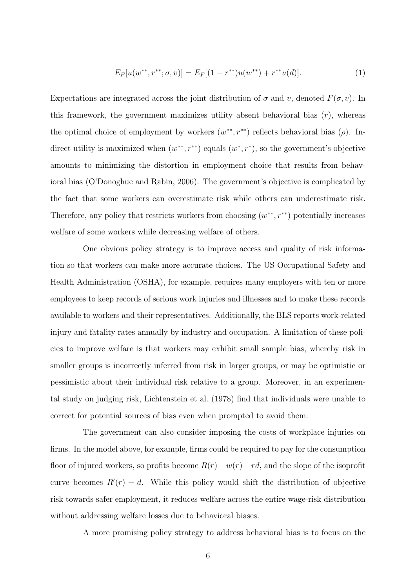$$
E_F[u(w^{**}, r^{**}; \sigma, v)] = E_F[(1 - r^{**})u(w^{**}) + r^{**}u(d)].
$$
\n(1)

Expectations are integrated across the joint distribution of  $\sigma$  and v, denoted  $F(\sigma, v)$ . In this framework, the government maximizes utility absent behavioral bias  $(r)$ , whereas the optimal choice of employment by workers  $(w^{**}, r^{**})$  reflects behavioral bias  $(\rho)$ . Indirect utility is maximized when  $(w^{**}, r^{**})$  equals  $(w^*, r^*)$ , so the government's objective amounts to minimizing the distortion in employment choice that results from behavioral bias (O'Donoghue and Rabin, 2006). The government's objective is complicated by the fact that some workers can overestimate risk while others can underestimate risk. Therefore, any policy that restricts workers from choosing  $(w^{**}, r^{**})$  potentially increases welfare of some workers while decreasing welfare of others.

One obvious policy strategy is to improve access and quality of risk information so that workers can make more accurate choices. The US Occupational Safety and Health Administration (OSHA), for example, requires many employers with ten or more employees to keep records of serious work injuries and illnesses and to make these records available to workers and their representatives. Additionally, the BLS reports work-related injury and fatality rates annually by industry and occupation. A limitation of these policies to improve welfare is that workers may exhibit small sample bias, whereby risk in smaller groups is incorrectly inferred from risk in larger groups, or may be optimistic or pessimistic about their individual risk relative to a group. Moreover, in an experimental study on judging risk, Lichtenstein et al. (1978) find that individuals were unable to correct for potential sources of bias even when prompted to avoid them.

The government can also consider imposing the costs of workplace injuries on firms. In the model above, for example, firms could be required to pay for the consumption floor of injured workers, so profits become  $R(r) - w(r) - rd$ , and the slope of the isoprofit curve becomes  $R'(r) - d$ . While this policy would shift the distribution of objective risk towards safer employment, it reduces welfare across the entire wage-risk distribution without addressing welfare losses due to behavioral biases.

A more promising policy strategy to address behavioral bias is to focus on the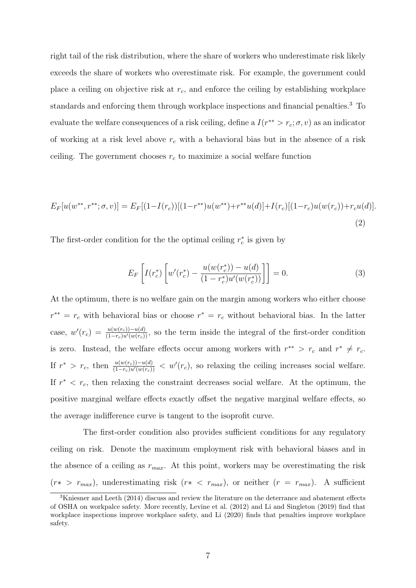right tail of the risk distribution, where the share of workers who underestimate risk likely exceeds the share of workers who overestimate risk. For example, the government could place a ceiling on objective risk at  $r_c$ , and enforce the ceiling by establishing workplace standards and enforcing them through workplace inspections and financial penalties.<sup>3</sup> To evaluate the welfare consequences of a risk ceiling, define a  $I(r^{**} > r_c; \sigma, v)$  as an indicator of working at a risk level above  $r_c$  with a behavioral bias but in the absence of a risk ceiling. The government chooses  $r_c$  to maximize a social welfare function

$$
E_F[u(w^{**}, r^{**}; \sigma, v)] = E_F[(1 - I(r_c))[(1 - r^{**})u(w^{**}) + r^{**}u(d)] + I(r_c)[(1 - r_c)u(w(r_c)) + r_c u(d)].
$$
\n(2)

The first-order condition for the the optimal ceiling  $r_c^*$  is given by

$$
E_F\left[I(r_c^*)\left[w'(r_c^*) - \frac{u(w(r_c^*)) - u(d)}{(1 - r_c^*)u'(w(r_c^*))}\right]\right] = 0.
$$
\n(3)

At the optimum, there is no welfare gain on the margin among workers who either choose  $r^{**} = r_c$  with behavioral bias or choose  $r^* = r_c$  without behavioral bias. In the latter case,  $w'(r_c) = \frac{u(w(r_c)) - u(d)}{(1 - r_c)u'(w(r_c))}$ , so the term inside the integral of the first-order condition is zero. Instead, the welfare effects occur among workers with  $r^{**} > r_c$  and  $r^* \neq r_c$ . If  $r^* > r_c$ , then  $\frac{u(w(r_c)) - u(d)}{(1 - r_c)u'(w(r_c))} < w'(r_c)$ , so relaxing the ceiling increases social welfare. If  $r^* < r_c$ , then relaxing the constraint decreases social welfare. At the optimum, the positive marginal welfare effects exactly offset the negative marginal welfare effects, so the average indifference curve is tangent to the isoprofit curve.

The first-order condition also provides sufficient conditions for any regulatory ceiling on risk. Denote the maximum employment risk with behavioral biases and in the absence of a ceiling as  $r_{max}$ . At this point, workers may be overestimating the risk  $(r* > r_{max})$ , underestimating risk  $(r* < r_{max})$ , or neither  $(r = r_{max})$ . A sufficient

 $3$ Kniesner and Leeth (2014) discuss and review the literature on the deterrance and abatement effects of OSHA on workpalce safety. More recently, Levine et al. (2012) and Li and Singleton (2019) find that workplace inspections improve workplace safety, and Li (2020) finds that penalties improve workplace safety.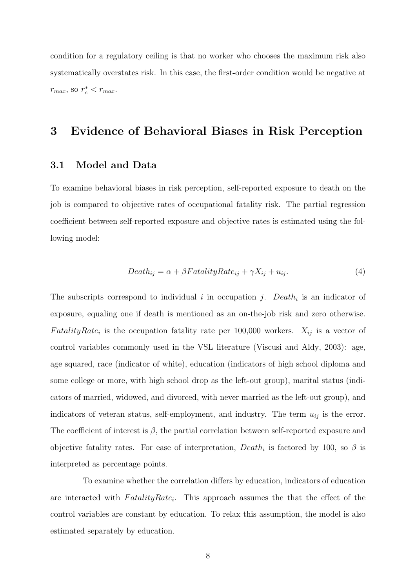condition for a regulatory ceiling is that no worker who chooses the maximum risk also systematically overstates risk. In this case, the first-order condition would be negative at  $r_{max}$ , so  $r_c^* < r_{max}$ .

# 3 Evidence of Behavioral Biases in Risk Perception

#### 3.1 Model and Data

To examine behavioral biases in risk perception, self-reported exposure to death on the job is compared to objective rates of occupational fatality risk. The partial regression coefficient between self-reported exposure and objective rates is estimated using the following model:

$$
Death_{ij} = \alpha + \beta FatalityRate_{ij} + \gamma X_{ij} + u_{ij}.
$$
\n<sup>(4)</sup>

The subscripts correspond to individual i in occupation j. Death<sub>i</sub> is an indicator of exposure, equaling one if death is mentioned as an on-the-job risk and zero otherwise. Fatality Rate<sub>i</sub> is the occupation fatality rate per 100,000 workers.  $X_{ij}$  is a vector of control variables commonly used in the VSL literature (Viscusi and Aldy, 2003): age, age squared, race (indicator of white), education (indicators of high school diploma and some college or more, with high school drop as the left-out group), marital status (indicators of married, widowed, and divorced, with never married as the left-out group), and indicators of veteran status, self-employment, and industry. The term  $u_{ij}$  is the error. The coefficient of interest is  $\beta$ , the partial correlation between self-reported exposure and objective fatality rates. For ease of interpretation,  $Death_i$  is factored by 100, so  $\beta$  is interpreted as percentage points.

To examine whether the correlation differs by education, indicators of education are interacted with  $FatalityRate_i$ . This approach assumes the that the effect of the control variables are constant by education. To relax this assumption, the model is also estimated separately by education.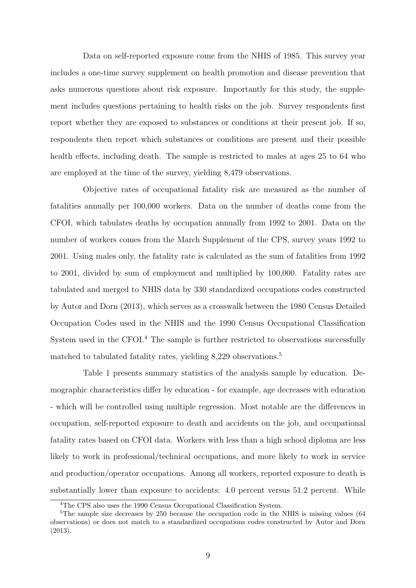Data on self-reported exposure come from the NHIS of 1985. This survey year includes a one-time survey supplement on health promotion and disease prevention that asks numerous questions about risk exposure. Importantly for this study, the supplement includes questions pertaining to health risks on the job. Survey respondents first report whether they are exposed to substances or conditions at their present job. If so, respondents then report which substances or conditions are present and their possible health effects, including death. The sample is restricted to males at ages 25 to 64 who are employed at the time of the survey, yielding 8,479 observations.

Objective rates of occupational fatality risk are measured as the number of fatalities annually per 100,000 workers. Data on the number of deaths come from the CFOI, which tabulates deaths by occupation annually from 1992 to 2001. Data on the number of workers comes from the March Supplement of the CPS, survey years 1992 to 2001. Using males only, the fatality rate is calculated as the sum of fatalities from 1992 to 2001, divided by sum of employment and multiplied by 100,000. Fatality rates are tabulated and merged to NHIS data by 330 standardized occupations codes constructed by Autor and Dorn (2013), which serves as a crosswalk between the 1980 Census Detailed Occupation Codes used in the NHIS and the 1990 Census Occupational Classification System used in the CFOI.<sup>4</sup> The sample is further restricted to observations successfully matched to tabulated fatality rates, yielding 8,229 observations.<sup>5</sup>

Table 1 presents summary statistics of the analysis sample by education. Demographic characteristics differ by education - for example, age decreases with education - which will be controlled using multiple regression. Most notable are the differences in occupation, self-reported exposure to death and accidents on the job, and occupational fatality rates based on CFOI data. Workers with less than a high school diploma are less likely to work in professional/technical occupations, and more likely to work in service and production/operator occupations. Among all workers, reported exposure to death is substantially lower than exposure to accidents: 4.0 percent versus 51.2 percent. While

<sup>&</sup>lt;sup>4</sup>The CPS also uses the 1990 Census Occupational Classification System.

 $5$ The sample size decreases by 250 because the occupation code in the NHIS is missing values (64 observations) or does not match to a standardized occupations codes constructed by Autor and Dorn (2013).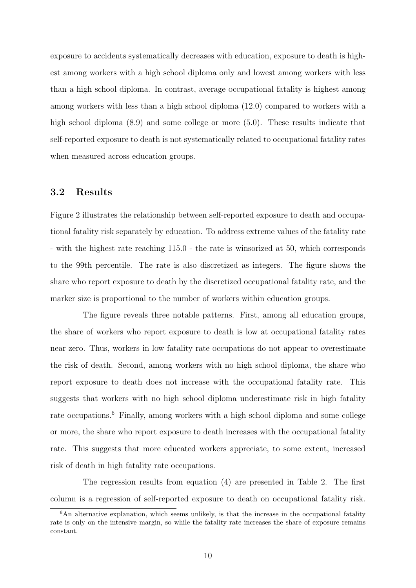exposure to accidents systematically decreases with education, exposure to death is highest among workers with a high school diploma only and lowest among workers with less than a high school diploma. In contrast, average occupational fatality is highest among among workers with less than a high school diploma (12.0) compared to workers with a high school diploma  $(8.9)$  and some college or more  $(5.0)$ . These results indicate that self-reported exposure to death is not systematically related to occupational fatality rates when measured across education groups.

#### 3.2 Results

Figure 2 illustrates the relationship between self-reported exposure to death and occupational fatality risk separately by education. To address extreme values of the fatality rate - with the highest rate reaching 115.0 - the rate is winsorized at 50, which corresponds to the 99th percentile. The rate is also discretized as integers. The figure shows the share who report exposure to death by the discretized occupational fatality rate, and the marker size is proportional to the number of workers within education groups.

The figure reveals three notable patterns. First, among all education groups, the share of workers who report exposure to death is low at occupational fatality rates near zero. Thus, workers in low fatality rate occupations do not appear to overestimate the risk of death. Second, among workers with no high school diploma, the share who report exposure to death does not increase with the occupational fatality rate. This suggests that workers with no high school diploma underestimate risk in high fatality rate occupations.<sup>6</sup> Finally, among workers with a high school diploma and some college or more, the share who report exposure to death increases with the occupational fatality rate. This suggests that more educated workers appreciate, to some extent, increased risk of death in high fatality rate occupations.

The regression results from equation (4) are presented in Table 2. The first column is a regression of self-reported exposure to death on occupational fatality risk.

 $6$ An alternative explanation, which seems unlikely, is that the increase in the occupational fatality rate is only on the intensive margin, so while the fatality rate increases the share of exposure remains constant.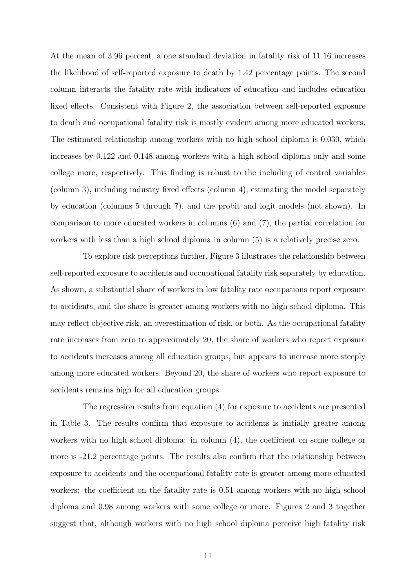At the mean of 3.96 percent, a one standard deviation in fatality risk of 11.16 increases the likelihood of self-reported exposure to death by 1.42 percentage points. The second column interacts the fatality rate with indicators of education and includes education fixed effects. Consistent with Figure 2, the association between self-reported exposure to death and occupational fatality risk is mostly evident among more educated workers. The estimated relationship among workers with no high school diploma is 0.030, which increases by 0.122 and 0.148 among workers with a high school diploma only and some college more, respectively. This finding is robust to the including of control variables (column 3), including industry fixed effects (column 4), estimating the model separately by education (columns 5 through 7), and the probit and logit models (not shown). In comparison to more educated workers in columns (6) and (7), the partial correlation for workers with less than a high school diploma in column (5) is a relatively precise zero.

To explore risk perceptions further, Figure 3 illustrates the relationship between self-reported exposure to accidents and occupational fatality risk separately by education. As shown, a substantial share of workers in low fatality rate occupations report exposure to accidents, and the share is greater among workers with no high school diploma. This may reflect objective risk, an overestimation of risk, or both. As the occupational fatality rate increases from zero to approximately 20, the share of workers who report exposure to accidents increases among all education groups, but appears to increase more steeply among more educated workers. Beyond 20, the share of workers who report exposure to accidents remains high for all education groups.

The regression results from equation (4) for exposure to accidents are presented in Table 3. The results confirm that exposure to accidents is initially greater among workers with no high school diploma: in column (4), the coefficient on some college or more is -21.2 percentage points. The results also confirm that the relationship between exposure to accidents and the occupational fatality rate is greater among more educated workers: the coefficient on the fatality rate is  $0.51$  among workers with no high school diploma and 0.98 among workers with some college or more. Figures 2 and 3 together suggest that, although workers with no high school diploma perceive high fatality risk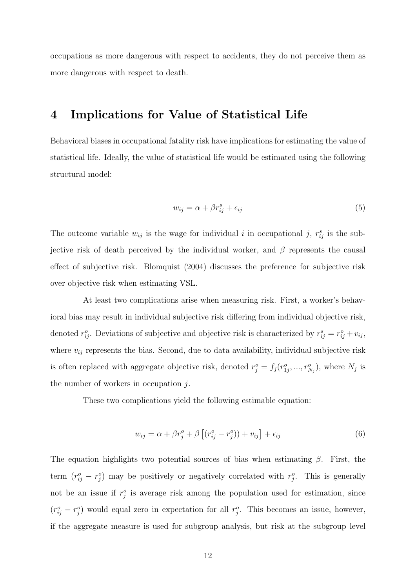occupations as more dangerous with respect to accidents, they do not perceive them as more dangerous with respect to death.

# 4 Implications for Value of Statistical Life

Behavioral biases in occupational fatality risk have implications for estimating the value of statistical life. Ideally, the value of statistical life would be estimated using the following structural model:

$$
w_{ij} = \alpha + \beta r_{ij}^s + \epsilon_{ij} \tag{5}
$$

The outcome variable  $w_{ij}$  is the wage for individual i in occupational j,  $r_{ij}^s$  is the subjective risk of death perceived by the individual worker, and  $\beta$  represents the causal effect of subjective risk. Blomquist (2004) discusses the preference for subjective risk over objective risk when estimating VSL.

At least two complications arise when measuring risk. First, a worker's behavioral bias may result in individual subjective risk differing from individual objective risk, denoted  $r_{ij}^o$ . Deviations of subjective and objective risk is characterized by  $r_{ij}^s = r_{ij}^o + v_{ij}$ , where  $v_{ij}$  represents the bias. Second, due to data availability, individual subjective risk is often replaced with aggregate objective risk, denoted  $r_j^o = f_j(r_{1j}^o, ..., r_{N_j}^o)$ , where  $N_j$  is the number of workers in occupation  $i$ .

These two complications yield the following estimable equation:

$$
w_{ij} = \alpha + \beta r_j^o + \beta \left[ (r_{ij}^o - r_j^o) \right] + v_{ij} \right] + \epsilon_{ij}
$$
\n
$$
(6)
$$

The equation highlights two potential sources of bias when estimating  $\beta$ . First, the term  $(r_{ij}^o - r_j^o)$  may be positively or negatively correlated with  $r_j^o$ . This is generally not be an issue if  $r_j^o$  is average risk among the population used for estimation, since  $(r_{ij}^o - r_j^o)$  would equal zero in expectation for all  $r_j^o$ . This becomes an issue, however, if the aggregate measure is used for subgroup analysis, but risk at the subgroup level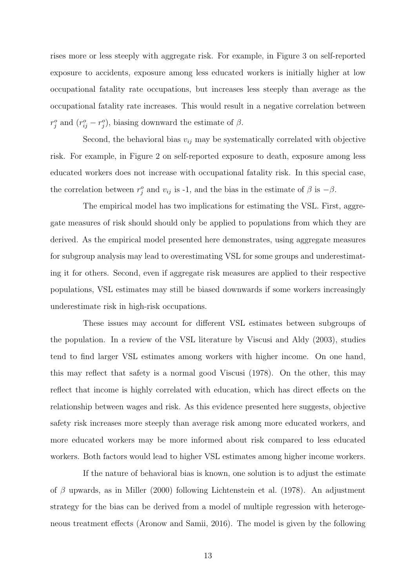rises more or less steeply with aggregate risk. For example, in Figure 3 on self-reported exposure to accidents, exposure among less educated workers is initially higher at low occupational fatality rate occupations, but increases less steeply than average as the occupational fatality rate increases. This would result in a negative correlation between  $r_j^o$  and  $(r_{ij}^o - r_j^o)$ , biasing downward the estimate of  $\beta$ .

Second, the behavioral bias  $v_{ij}$  may be systematically correlated with objective risk. For example, in Figure 2 on self-reported exposure to death, exposure among less educated workers does not increase with occupational fatality risk. In this special case, the correlation between  $r_j^o$  and  $v_{ij}$  is -1, and the bias in the estimate of  $\beta$  is  $-\beta$ .

The empirical model has two implications for estimating the VSL. First, aggregate measures of risk should should only be applied to populations from which they are derived. As the empirical model presented here demonstrates, using aggregate measures for subgroup analysis may lead to overestimating VSL for some groups and underestimating it for others. Second, even if aggregate risk measures are applied to their respective populations, VSL estimates may still be biased downwards if some workers increasingly underestimate risk in high-risk occupations.

These issues may account for different VSL estimates between subgroups of the population. In a review of the VSL literature by Viscusi and Aldy (2003), studies tend to find larger VSL estimates among workers with higher income. On one hand, this may reflect that safety is a normal good Viscusi (1978). On the other, this may reflect that income is highly correlated with education, which has direct effects on the relationship between wages and risk. As this evidence presented here suggests, objective safety risk increases more steeply than average risk among more educated workers, and more educated workers may be more informed about risk compared to less educated workers. Both factors would lead to higher VSL estimates among higher income workers.

If the nature of behavioral bias is known, one solution is to adjust the estimate of  $\beta$  upwards, as in Miller (2000) following Lichtenstein et al. (1978). An adjustment strategy for the bias can be derived from a model of multiple regression with heterogeneous treatment effects (Aronow and Samii, 2016). The model is given by the following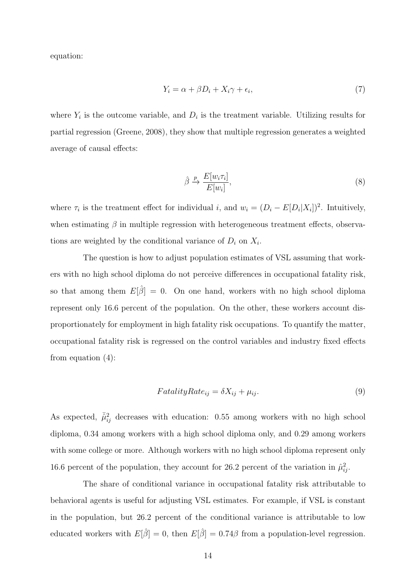equation:

$$
Y_i = \alpha + \beta D_i + X_i \gamma + \epsilon_i,\tag{7}
$$

where  $Y_i$  is the outcome variable, and  $D_i$  is the treatment variable. Utilizing results for partial regression (Greene, 2008), they show that multiple regression generates a weighted average of causal effects:

$$
\hat{\beta} \xrightarrow{p} \frac{E[w_i \tau_i]}{E[w_i]},\tag{8}
$$

where  $\tau_i$  is the treatment effect for individual i, and  $w_i = (D_i - E[D_i|X_i])^2$ . Intuitively, when estimating  $\beta$  in multiple regression with heterogeneous treatment effects, observations are weighted by the conditional variance of  $D_i$  on  $X_i$ .

The question is how to adjust population estimates of VSL assuming that workers with no high school diploma do not perceive differences in occupational fatality risk, so that among them  $E[\hat{\beta}] = 0$ . On one hand, workers with no high school diploma represent only 16.6 percent of the population. On the other, these workers account disproportionately for employment in high fatality risk occupations. To quantify the matter, occupational fatality risk is regressed on the control variables and industry fixed effects from equation (4):

$$
FatalityRate_{ij} = \delta X_{ij} + \mu_{ij}.
$$
\n(9)

As expected,  $\bar{\hat{\mu}}_{ij}^2$  decreases with education: 0.55 among workers with no high school diploma, 0.34 among workers with a high school diploma only, and 0.29 among workers with some college or more. Although workers with no high school diploma represent only 16.6 percent of the population, they account for 26.2 percent of the variation in  $\hat{\mu}_{ij}^2$ .

The share of conditional variance in occupational fatality risk attributable to behavioral agents is useful for adjusting VSL estimates. For example, if VSL is constant in the population, but 26.2 percent of the conditional variance is attributable to low educated workers with  $E[\hat{\beta}] = 0$ , then  $E[\hat{\beta}] = 0.74\beta$  from a population-level regression.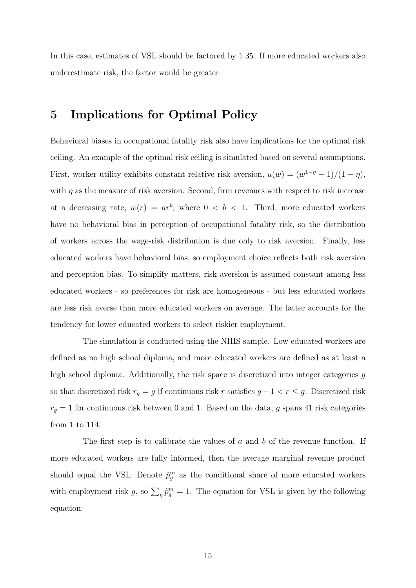In this case, estimates of VSL should be factored by 1.35. If more educated workers also underestimate risk, the factor would be greater.

# 5 Implications for Optimal Policy

Behavioral biases in occupational fatality risk also have implications for the optimal risk ceiling. An example of the optimal risk ceiling is simulated based on several assumptions. First, worker utility exhibits constant relative risk aversion,  $u(w) = (w^{1-\eta} - 1)/(1 - \eta)$ , with  $\eta$  as the measure of risk aversion. Second, firm revenues with respect to risk increase at a decreasing rate,  $w(r) = ar^b$ , where  $0 < b < 1$ . Third, more educated workers have no behavioral bias in perception of occupational fatality risk, so the distribution of workers across the wage-risk distribution is due only to risk aversion. Finally, less educated workers have behavioral bias, so employment choice reflects both risk aversion and perception bias. To simplify matters, risk aversion is assumed constant among less educated workers - so preferences for risk are homogeneous - but less educated workers are less risk averse than more educated workers on average. The latter accounts for the tendency for lower educated workers to select riskier employment.

The simulation is conducted using the NHIS sample. Low educated workers are defined as no high school diploma, and more educated workers are defined as at least a high school diploma. Additionally, the risk space is discretized into integer categories g so that discretized risk  $r_g = g$  if continuous risk r satisfies  $g - 1 < r \leq g$ . Discretized risk  $r_g = 1$  for continuous risk between 0 and 1. Based on the data, g spans 41 risk categories from 1 to 114.

The first step is to calibrate the values of a and b of the revenue function. If more educated workers are fully informed, then the average marginal revenue product should equal the VSL. Denote  $\tilde{p}_{g}^{m}$  as the conditional share of more educated workers with employment risk g, so  $\sum_g \tilde{p}^m_g = 1$ . The equation for VSL is given by the following equation: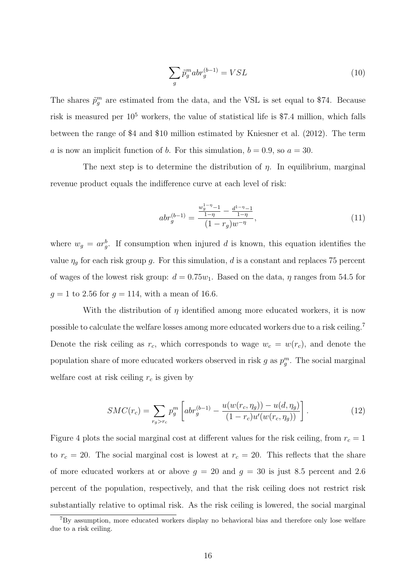$$
\sum_{g} \tilde{p}_g^m abr_g^{(b-1)} = VSL \tag{10}
$$

The shares  $\tilde{p}_{g}^{m}$  are estimated from the data, and the VSL is set equal to \$74. Because risk is measured per  $10^5$  workers, the value of statistical life is \$7.4 million, which falls between the range of \$4 and \$10 million estimated by Kniesner et al. (2012). The term a is now an implicit function of b. For this simulation,  $b = 0.9$ , so  $a = 30$ .

The next step is to determine the distribution of  $\eta$ . In equilibrium, marginal revenue product equals the indifference curve at each level of risk:

$$
abr_g^{(b-1)} = \frac{\frac{w_g^{1-\eta} - 1}{1-\eta} - \frac{d^{1-\eta} - 1}{1-\eta}}{(1 - r_g)w^{-\eta}},
$$
\n(11)

where  $w_g = ar_g^b$ . If consumption when injured d is known, this equation identifies the value  $\eta_g$  for each risk group g. For this simulation, d is a constant and replaces 75 percent of wages of the lowest risk group:  $d = 0.75w_1$ . Based on the data,  $\eta$  ranges from 54.5 for  $g = 1$  to 2.56 for  $g = 114$ , with a mean of 16.6.

With the distribution of  $\eta$  identified among more educated workers, it is now possible to calculate the welfare losses among more educated workers due to a risk ceiling.<sup>7</sup> Denote the risk ceiling as  $r_c$ , which corresponds to wage  $w_c = w(r_c)$ , and denote the population share of more educated workers observed in risk g as  $p_g^m$ . The social marginal welfare cost at risk ceiling  $r_c$  is given by

$$
SMC(r_c) = \sum_{r_g > r_c} p_g^m \left[ abr_g^{(b-1)} - \frac{u(w(r_c, \eta_g)) - u(d, \eta_g)}{(1 - r_c)u'(w(r_c, \eta_g))} \right].
$$
 (12)

Figure 4 plots the social marginal cost at different values for the risk ceiling, from  $r_c = 1$ to  $r_c = 20$ . The social marginal cost is lowest at  $r_c = 20$ . This reflects that the share of more educated workers at or above  $g = 20$  and  $g = 30$  is just 8.5 percent and 2.6 percent of the population, respectively, and that the risk ceiling does not restrict risk substantially relative to optimal risk. As the risk ceiling is lowered, the social marginal

<sup>7</sup>By assumption, more educated workers display no behavioral bias and therefore only lose welfare due to a risk ceiling.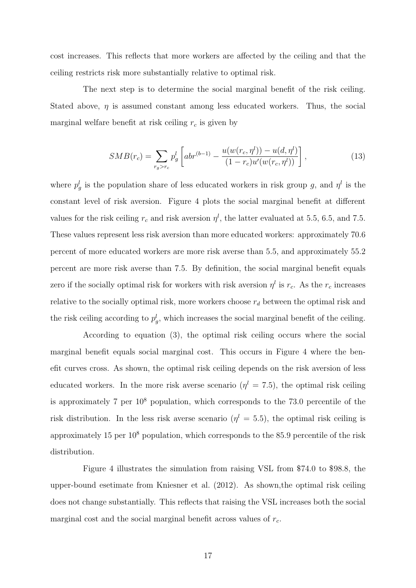cost increases. This reflects that more workers are affected by the ceiling and that the ceiling restricts risk more substantially relative to optimal risk.

The next step is to determine the social marginal benefit of the risk ceiling. Stated above,  $\eta$  is assumed constant among less educated workers. Thus, the social marginal welfare benefit at risk ceiling  $r_c$  is given by

$$
SMB(r_c) = \sum_{r_g > r_c} p_g^l \left[ abr^{(b-1)} - \frac{u(w(r_c, \eta^l)) - u(d, \eta^l)}{(1 - r_c)u'(w(r_c, \eta^l))} \right],
$$
\n(13)

where  $p_g^l$  is the population share of less educated workers in risk group g, and  $\eta^l$  is the constant level of risk aversion. Figure 4 plots the social marginal benefit at different values for the risk ceiling  $r_c$  and risk aversion  $\eta^l$ , the latter evaluated at 5.5, 6.5, and 7.5. These values represent less risk aversion than more educated workers: approximately 70.6 percent of more educated workers are more risk averse than 5.5, and approximately 55.2 percent are more risk averse than 7.5. By definition, the social marginal benefit equals zero if the socially optimal risk for workers with risk aversion  $\eta^l$  is  $r_c$ . As the  $r_c$  increases relative to the socially optimal risk, more workers choose  $r_d$  between the optimal risk and the risk ceiling according to  $p_g^l$ , which increases the social marginal benefit of the ceiling.

According to equation (3), the optimal risk ceiling occurs where the social marginal benefit equals social marginal cost. This occurs in Figure 4 where the benefit curves cross. As shown, the optimal risk ceiling depends on the risk aversion of less educated workers. In the more risk averse scenario  $(\eta^l = 7.5)$ , the optimal risk ceiling is approximately 7 per  $10^8$  population, which corresponds to the 73.0 percentile of the risk distribution. In the less risk averse scenario  $(\eta^l = 5.5)$ , the optimal risk ceiling is approximately 15 per  $10^8$  population, which corresponds to the 85.9 percentile of the risk distribution.

Figure 4 illustrates the simulation from raising VSL from \$74.0 to \$98.8, the upper-bound esetimate from Kniesner et al. (2012). As shown,the optimal risk ceiling does not change substantially. This reflects that raising the VSL increases both the social marginal cost and the social marginal benefit across values of  $r_c$ .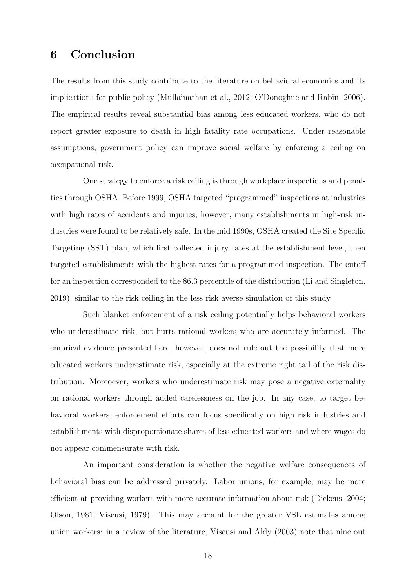# 6 Conclusion

The results from this study contribute to the literature on behavioral economics and its implications for public policy (Mullainathan et al., 2012; O'Donoghue and Rabin, 2006). The empirical results reveal substantial bias among less educated workers, who do not report greater exposure to death in high fatality rate occupations. Under reasonable assumptions, government policy can improve social welfare by enforcing a ceiling on occupational risk.

One strategy to enforce a risk ceiling is through workplace inspections and penalties through OSHA. Before 1999, OSHA targeted "programmed" inspections at industries with high rates of accidents and injuries; however, many establishments in high-risk industries were found to be relatively safe. In the mid 1990s, OSHA created the Site Specific Targeting (SST) plan, which first collected injury rates at the establishment level, then targeted establishments with the highest rates for a programmed inspection. The cutoff for an inspection corresponded to the 86.3 percentile of the distribution (Li and Singleton, 2019), similar to the risk ceiling in the less risk averse simulation of this study.

Such blanket enforcement of a risk ceiling potentially helps behavioral workers who underestimate risk, but hurts rational workers who are accurately informed. The emprical evidence presented here, however, does not rule out the possibility that more educated workers underestimate risk, especially at the extreme right tail of the risk distribution. Moreoever, workers who underestimate risk may pose a negative externality on rational workers through added carelessness on the job. In any case, to target behavioral workers, enforcement efforts can focus specifically on high risk industries and establishments with disproportionate shares of less educated workers and where wages do not appear commensurate with risk.

An important consideration is whether the negative welfare consequences of behavioral bias can be addressed privately. Labor unions, for example, may be more efficient at providing workers with more accurate information about risk (Dickens, 2004; Olson, 1981; Viscusi, 1979). This may account for the greater VSL estimates among union workers: in a review of the literature, Viscusi and Aldy (2003) note that nine out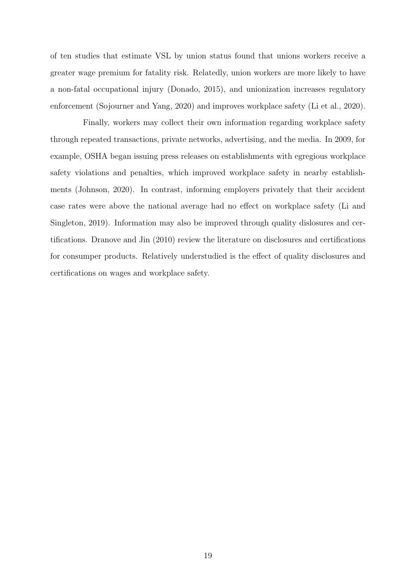of ten studies that estimate VSL by union status found that unions workers receive a greater wage premium for fatality risk. Relatedly, union workers are more likely to have a non-fatal occupational injury (Donado, 2015), and unionization increases regulatory enforcement (Sojourner and Yang, 2020) and improves workplace safety (Li et al., 2020).

Finally, workers may collect their own information regarding workplace safety through repeated transactions, private networks, advertising, and the media. In 2009, for example, OSHA began issuing press releases on establishments with egregious workplace safety violations and penalties, which improved workplace safety in nearby establishments (Johnson, 2020). In contrast, informing employers privately that their accident case rates were above the national average had no effect on workplace safety (Li and Singleton, 2019). Information may also be improved through quality dislosures and certifications. Dranove and Jin (2010) review the literature on disclosures and certifications for consumper products. Relatively understudied is the effect of quality disclosures and certifications on wages and workplace safety.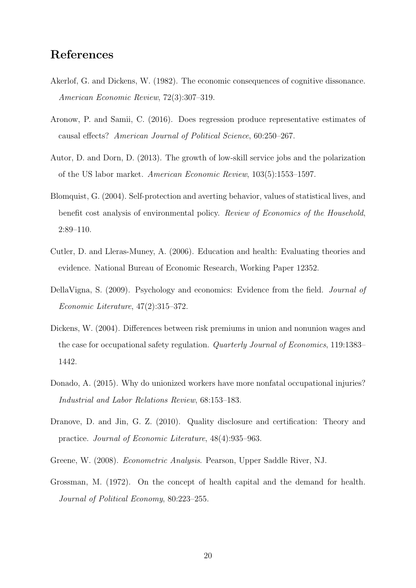# References

- Akerlof, G. and Dickens, W. (1982). The economic consequences of cognitive dissonance. American Economic Review, 72(3):307–319.
- Aronow, P. and Samii, C. (2016). Does regression produce representative estimates of causal effects? American Journal of Political Science, 60:250–267.
- Autor, D. and Dorn, D. (2013). The growth of low-skill service jobs and the polarization of the US labor market. American Economic Review, 103(5):1553–1597.
- Blomquist, G. (2004). Self-protection and averting behavior, values of statistical lives, and benefit cost analysis of environmental policy. Review of Economics of the Household, 2:89–110.
- Cutler, D. and Lleras-Muney, A. (2006). Education and health: Evaluating theories and evidence. National Bureau of Economic Research, Working Paper 12352.
- DellaVigna, S. (2009). Psychology and economics: Evidence from the field. Journal of Economic Literature, 47(2):315–372.
- Dickens, W. (2004). Differences between risk premiums in union and nonunion wages and the case for occupational safety regulation. Quarterly Journal of Economics, 119:1383– 1442.
- Donado, A. (2015). Why do unionized workers have more nonfatal occupational injuries? Industrial and Labor Relations Review, 68:153–183.
- Dranove, D. and Jin, G. Z. (2010). Quality disclosure and certification: Theory and practice. Journal of Economic Literature, 48(4):935–963.
- Greene, W. (2008). Econometric Analysis. Pearson, Upper Saddle River, NJ.
- Grossman, M. (1972). On the concept of health capital and the demand for health. Journal of Political Economy, 80:223–255.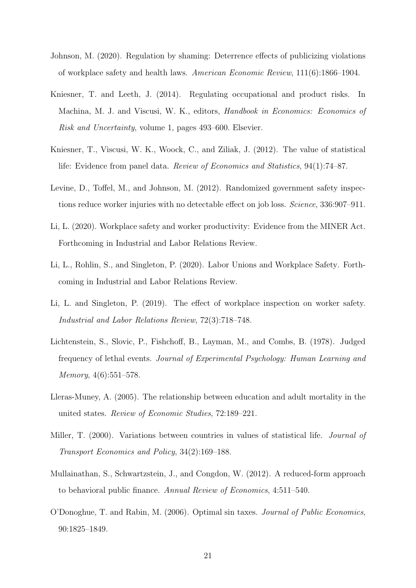- Johnson, M. (2020). Regulation by shaming: Deterrence effects of publicizing violations of workplace safety and health laws. American Economic Review, 111(6):1866–1904.
- Kniesner, T. and Leeth, J. (2014). Regulating occupational and product risks. In Machina, M. J. and Viscusi, W. K., editors, Handbook in Economics: Economics of Risk and Uncertainty, volume 1, pages 493–600. Elsevier.
- Kniesner, T., Viscusi, W. K., Woock, C., and Ziliak, J. (2012). The value of statistical life: Evidence from panel data. Review of Economics and Statistics, 94(1):74–87.
- Levine, D., Toffel, M., and Johnson, M. (2012). Randomized government safety inspections reduce worker injuries with no detectable effect on job loss. Science, 336:907–911.
- Li, L. (2020). Workplace safety and worker productivity: Evidence from the MINER Act. Forthcoming in Industrial and Labor Relations Review.
- Li, L., Rohlin, S., and Singleton, P. (2020). Labor Unions and Workplace Safety. Forthcoming in Industrial and Labor Relations Review.
- Li, L. and Singleton, P. (2019). The effect of workplace inspection on worker safety. Industrial and Labor Relations Review, 72(3):718–748.
- Lichtenstein, S., Slovic, P., Fishchoff, B., Layman, M., and Combs, B. (1978). Judged frequency of lethal events. Journal of Experimental Psychology: Human Learning and Memory, 4(6):551–578.
- Lleras-Muney, A. (2005). The relationship between education and adult mortality in the united states. Review of Economic Studies, 72:189–221.
- Miller, T. (2000). Variations between countries in values of statistical life. *Journal of* Transport Economics and Policy, 34(2):169–188.
- Mullainathan, S., Schwartzstein, J., and Congdon, W. (2012). A reduced-form approach to behavioral public finance. Annual Review of Economics, 4:511–540.
- O'Donoghue, T. and Rabin, M. (2006). Optimal sin taxes. Journal of Public Economics, 90:1825–1849.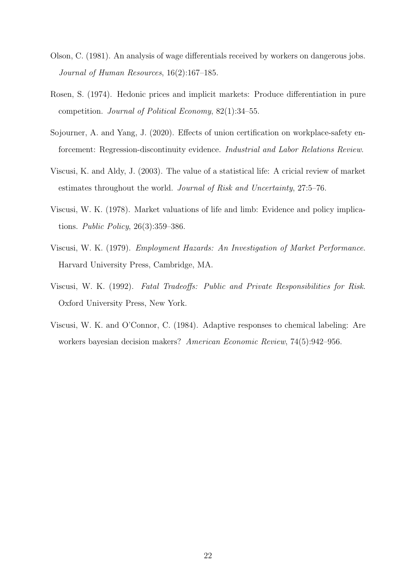- Olson, C. (1981). An analysis of wage differentials received by workers on dangerous jobs. Journal of Human Resources, 16(2):167–185.
- Rosen, S. (1974). Hedonic prices and implicit markets: Produce differentiation in pure competition. Journal of Political Economy, 82(1):34–55.
- Sojourner, A. and Yang, J. (2020). Effects of union certification on workplace-safety enforcement: Regression-discontinuity evidence. Industrial and Labor Relations Review.
- Viscusi, K. and Aldy, J. (2003). The value of a statistical life: A cricial review of market estimates throughout the world. Journal of Risk and Uncertainty, 27:5–76.
- Viscusi, W. K. (1978). Market valuations of life and limb: Evidence and policy implications. Public Policy, 26(3):359–386.
- Viscusi, W. K. (1979). Employment Hazards: An Investigation of Market Performance. Harvard University Press, Cambridge, MA.
- Viscusi, W. K. (1992). Fatal Tradeoffs: Public and Private Responsibilities for Risk. Oxford University Press, New York.
- Viscusi, W. K. and O'Connor, C. (1984). Adaptive responses to chemical labeling: Are workers bayesian decision makers? American Economic Review, 74(5):942–956.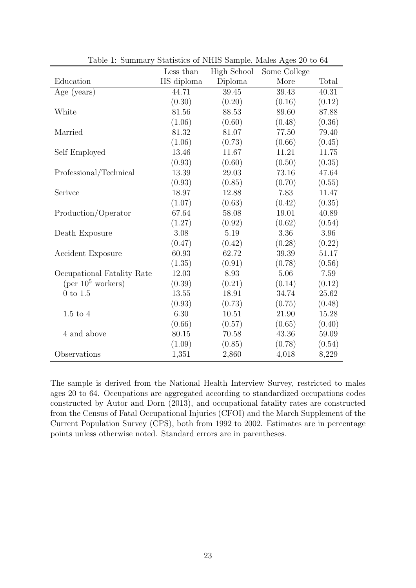|                                     | Less than  | High School | Some College |        |
|-------------------------------------|------------|-------------|--------------|--------|
| Education                           | HS diploma | Diploma     | More         | Total  |
| Age (years)                         | 44.71      | 39.45       | 39.43        | 40.31  |
|                                     | (0.30)     | (0.20)      | (0.16)       | (0.12) |
| White                               | 81.56      | 88.53       | 89.60        | 87.88  |
|                                     | (1.06)     | (0.60)      | (0.48)       | (0.36) |
| Married                             | 81.32      | 81.07       | 77.50        | 79.40  |
|                                     | (1.06)     | (0.73)      | (0.66)       | (0.45) |
| Self Employed                       | 13.46      | 11.67       | 11.21        | 11.75  |
|                                     | (0.93)     | (0.60)      | (0.50)       | (0.35) |
| Professional/Technical              | 13.39      | 29.03       | 73.16        | 47.64  |
|                                     | (0.93)     | (0.85)      | (0.70)       | (0.55) |
| Serivce                             | 18.97      | 12.88       | 7.83         | 11.47  |
|                                     | (1.07)     | (0.63)      | (0.42)       | (0.35) |
| Production/Operator                 | 67.64      | 58.08       | 19.01        | 40.89  |
|                                     | (1.27)     | (0.92)      | (0.62)       | (0.54) |
| Death Exposure                      | 3.08       | 5.19        | 3.36         | 3.96   |
|                                     | (0.47)     | (0.42)      | (0.28)       | (0.22) |
| <b>Accident Exposure</b>            | 60.93      | 62.72       | 39.39        | 51.17  |
|                                     | (1.35)     | (0.91)      | (0.78)       | (0.56) |
| Occupational Fatality Rate          | 12.03      | 8.93        | 5.06         | 7.59   |
| $(\text{per }10^5 \text{ workers})$ | (0.39)     | (0.21)      | (0.14)       | (0.12) |
| $0$ to $1.5$                        | 13.55      | 18.91       | 34.74        | 25.62  |
|                                     | (0.93)     | (0.73)      | (0.75)       | (0.48) |
| $1.5$ to $4$                        | 6.30       | 10.51       | 21.90        | 15.28  |
|                                     | (0.66)     | (0.57)      | (0.65)       | (0.40) |
| 4 and above                         | 80.15      | 70.58       | 43.36        | 59.09  |
|                                     | (1.09)     | (0.85)      | (0.78)       | (0.54) |
| Observations                        | 1,351      | 2,860       | 4,018        | 8,229  |

Table 1: Summary Statistics of NHIS Sample, Males Ages 20 to 64

The sample is derived from the National Health Interview Survey, restricted to males ages 20 to 64. Occupations are aggregated according to standardized occupations codes constructed by Autor and Dorn (2013), and occupational fatality rates are constructed from the Census of Fatal Occupational Injuries (CFOI) and the March Supplement of the Current Population Survey (CPS), both from 1992 to 2002. Estimates are in percentage points unless otherwise noted. Standard errors are in parentheses.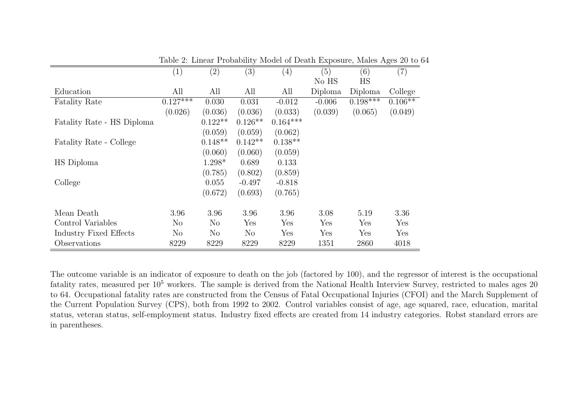|                            | (1)        | (2)       | (3)       | $\left( 4\right)$ | (5)      | (6)        | -0<br>(7) |
|----------------------------|------------|-----------|-----------|-------------------|----------|------------|-----------|
|                            |            |           |           |                   | No HS    | HS         |           |
| Education                  | All        | All       | All       | All               | Diploma  | Diploma    | College   |
| <b>Fatality Rate</b>       | $0.127***$ | 0.030     | 0.031     | $-0.012$          | $-0.006$ | $0.198***$ | $0.106**$ |
|                            | (0.026)    | (0.036)   | (0.036)   | (0.033)           | (0.039)  | (0.065)    | (0.049)   |
| Fatality Rate - HS Diploma |            | $0.122**$ | $0.126**$ | $0.164***$        |          |            |           |
|                            |            | (0.059)   | (0.059)   | (0.062)           |          |            |           |
| Fatality Rate - College    |            | $0.148**$ | $0.142**$ | $0.138**$         |          |            |           |
|                            |            | (0.060)   | (0.060)   | (0.059)           |          |            |           |
| HS Diploma                 |            | 1.298*    | 0.689     | 0.133             |          |            |           |
|                            |            | (0.785)   | (0.802)   | (0.859)           |          |            |           |
| College                    |            | 0.055     | $-0.497$  | $-0.818$          |          |            |           |
|                            |            | (0.672)   | (0.693)   | (0.765)           |          |            |           |
| Mean Death                 | 3.96       | 3.96      | 3.96      | 3.96              | 3.08     | 5.19       | 3.36      |
| Control Variables          | No         | No        | Yes       | Yes               | Yes      | Yes        | Yes       |
| Industry Fixed Effects     | $\rm No$   | $\rm No$  | $\rm No$  | Yes               | Yes      | Yes        | Yes       |
| Observations               | 8229       | 8229      | 8229      | 8229              | 1351     | 2860       | 4018      |

Table 2: Linear Probability Model of Death Exposure, Males Ages 20 to 64

The outcome variable is an indicator of exposure to death on the job (factored by 100), and the regressor of interest is the occupationalfatality rates, measured per 10<sup>5</sup> workers. The sample is derived from the National Health Interview Survey, restricted to males ages 20 to 64. Occupational fatality rates are constructed from the Census of Fatal Occupational Injuries (CFOI) and the March Supplement of the Current Population Survey (CPS), both from <sup>1992</sup> to 2002. Control variables consist of age, age squared, race, education, marital status, veteran status, self-employment status. Industry fixed effects are created from 14 industry categories. Robst standard errors arein parentheses.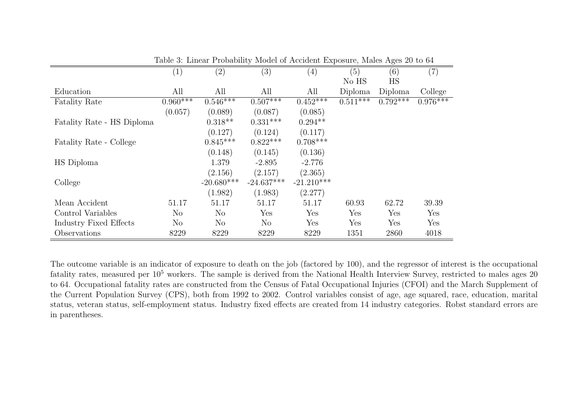|                            | $\left( 1\right)$ | (2)          | (3)          | (4)          | (5)        | (6)        | (7)        |
|----------------------------|-------------------|--------------|--------------|--------------|------------|------------|------------|
|                            |                   |              |              |              | No HS      | HS         |            |
| Education                  | All               | All          | All          | All          | Diploma    | Diploma    | College    |
| <b>Fatality Rate</b>       | $0.960***$        | $0.546***$   | $0.507***$   | $0.452***$   | $0.511***$ | $0.792***$ | $0.976***$ |
|                            | (0.057)           | (0.089)      | (0.087)      | (0.085)      |            |            |            |
| Fatality Rate - HS Diploma |                   | $0.318**$    | $0.331***$   | $0.294**$    |            |            |            |
|                            |                   | (0.127)      | (0.124)      | (0.117)      |            |            |            |
| Fatality Rate - College    |                   | $0.845***$   | $0.822***$   | $0.708***$   |            |            |            |
|                            |                   | (0.148)      | (0.145)      | (0.136)      |            |            |            |
| HS Diploma                 |                   | 1.379        | $-2.895$     | $-2.776$     |            |            |            |
|                            |                   | (2.156)      | (2.157)      | (2.365)      |            |            |            |
| College                    |                   | $-20.680***$ | $-24.637***$ | $-21.210***$ |            |            |            |
|                            |                   | (1.982)      | (1.983)      | (2.277)      |            |            |            |
| Mean Accident              | 51.17             | 51.17        | 51.17        | 51.17        | 60.93      | 62.72      | 39.39      |
| Control Variables          | $\rm No$          | No           | Yes          | Yes          | Yes        | Yes        | Yes        |
| Industry Fixed Effects     | $\rm No$          | $\rm No$     | $\rm No$     | Yes          | Yes        | Yes        | Yes        |
| Observations               | 8229              | 8229         | 8229         | 8229         | 1351       | 2860       | 4018       |

Table 3: Linear Probability Model of Accident Exposure, Males Ages 20 to 64

The outcome variable is an indicator of exposure to death on the job (factored by 100), and the regressor of interest is the occupationalfatality rates, measured per 10<sup>5</sup> workers. The sample is derived from the National Health Interview Survey, restricted to males ages 20 to 64. Occupational fatality rates are constructed from the Census of Fatal Occupational Injuries (CFOI) and the March Supplement of the Current Population Survey (CPS), both from <sup>1992</sup> to 2002. Control variables consist of age, age squared, race, education, marital status, veteran status, self-employment status. Industry fixed effects are created from 14 industry categories. Robst standard errors arein parentheses.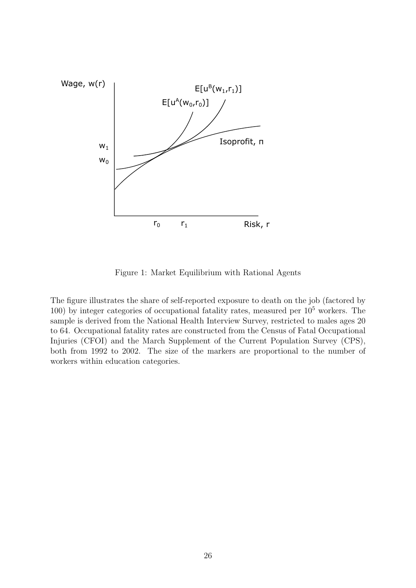

Figure 1: Market Equilibrium with Rational Agents

The figure illustrates the share of self-reported exposure to death on the job (factored by 100) by integer categories of occupational fatality rates, measured per  $10<sup>5</sup>$  workers. The sample is derived from the National Health Interview Survey, restricted to males ages 20 to 64. Occupational fatality rates are constructed from the Census of Fatal Occupational Injuries (CFOI) and the March Supplement of the Current Population Survey (CPS), both from 1992 to 2002. The size of the markers are proportional to the number of workers within education categories.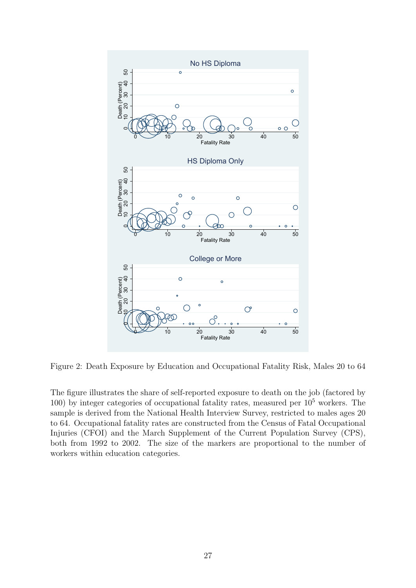

Figure 2: Death Exposure by Education and Occupational Fatality Risk, Males 20 to 64

The figure illustrates the share of self-reported exposure to death on the job (factored by 100) by integer categories of occupational fatality rates, measured per 10<sup>5</sup> workers. The sample is derived from the National Health Interview Survey, restricted to males ages 20 to 64. Occupational fatality rates are constructed from the Census of Fatal Occupational Injuries (CFOI) and the March Supplement of the Current Population Survey (CPS), both from 1992 to 2002. The size of the markers are proportional to the number of workers within education categories.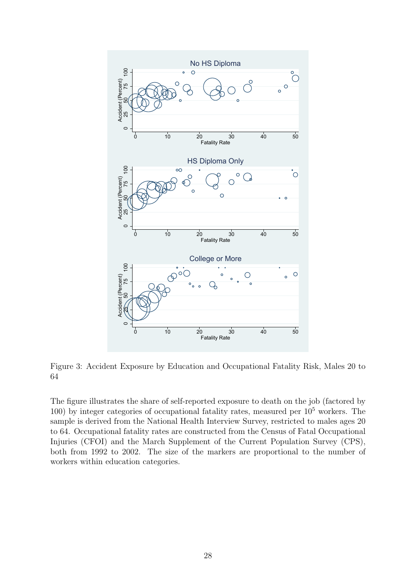

Figure 3: Accident Exposure by Education and Occupational Fatality Risk, Males 20 to 64

The figure illustrates the share of self-reported exposure to death on the job (factored by 100) by integer categories of occupational fatality rates, measured per  $10<sup>5</sup>$  workers. The sample is derived from the National Health Interview Survey, restricted to males ages 20 to 64. Occupational fatality rates are constructed from the Census of Fatal Occupational Injuries (CFOI) and the March Supplement of the Current Population Survey (CPS), both from 1992 to 2002. The size of the markers are proportional to the number of workers within education categories.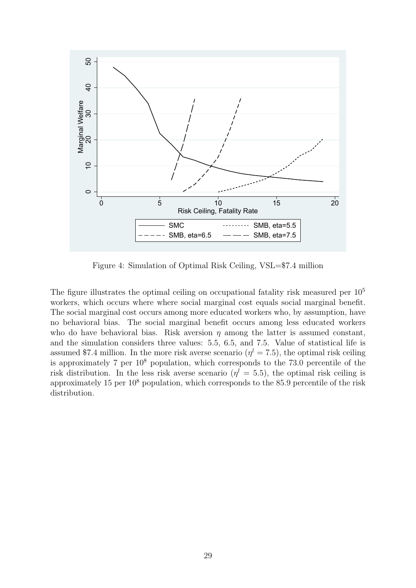

Figure 4: Simulation of Optimal Risk Ceiling, VSL=\$7.4 million

The figure illustrates the optimal ceiling on occupational fatality risk measured per  $10<sup>5</sup>$ workers, which occurs where where social marginal cost equals social marginal benefit. The social marginal cost occurs among more educated workers who, by assumption, have no behavioral bias. The social marginal benefit occurs among less educated workers who do have behavioral bias. Risk aversion  $\eta$  among the latter is assumed constant, and the simulation considers three values: 5.5, 6.5, and 7.5. Value of statistical life is assumed \$7.4 million. In the more risk averse scenario  $(\eta^l = 7.5)$ , the optimal risk ceiling is approximately 7 per  $10^8$  population, which corresponds to the 73.0 percentile of the risk distribution. In the less risk averse scenario  $(\eta^l = 5.5)$ , the optimal risk ceiling is approximately 15 per  $10^8$  population, which corresponds to the 85.9 percentile of the risk distribution.